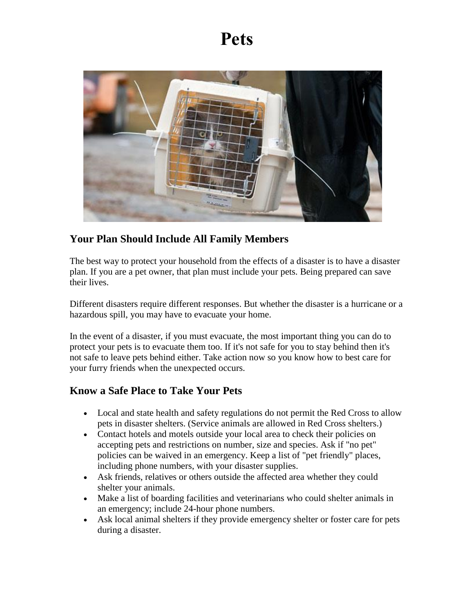## **Pets**



## **Your Plan Should Include All Family Members**

The best way to protect your household from the effects of a disaster is to have a disaster plan. If you are a pet owner, that plan must include your pets. Being prepared can save their lives.

Different disasters require different responses. But whether the disaster is a hurricane or a hazardous spill, you may have to evacuate your home.

In the event of a disaster, if you must evacuate, the most important thing you can do to protect your pets is to evacuate them too. If it's not safe for you to stay behind then it's not safe to leave pets behind either. Take action now so you know how to best care for your furry friends when the unexpected occurs.

## **Know a Safe Place to Take Your Pets**

- Local and state health and safety regulations do not permit the Red Cross to allow pets in disaster shelters. (Service animals are allowed in Red Cross shelters.)
- Contact hotels and motels outside your local area to check their policies on accepting pets and restrictions on number, size and species. Ask if "no pet" policies can be waived in an emergency. Keep a list of "pet friendly" places, including phone numbers, with your disaster supplies.
- Ask friends, relatives or others outside the affected area whether they could shelter your animals.
- Make a list of boarding facilities and veterinarians who could shelter animals in an emergency; include 24-hour phone numbers.
- Ask local animal shelters if they provide emergency shelter or foster care for pets during a disaster.